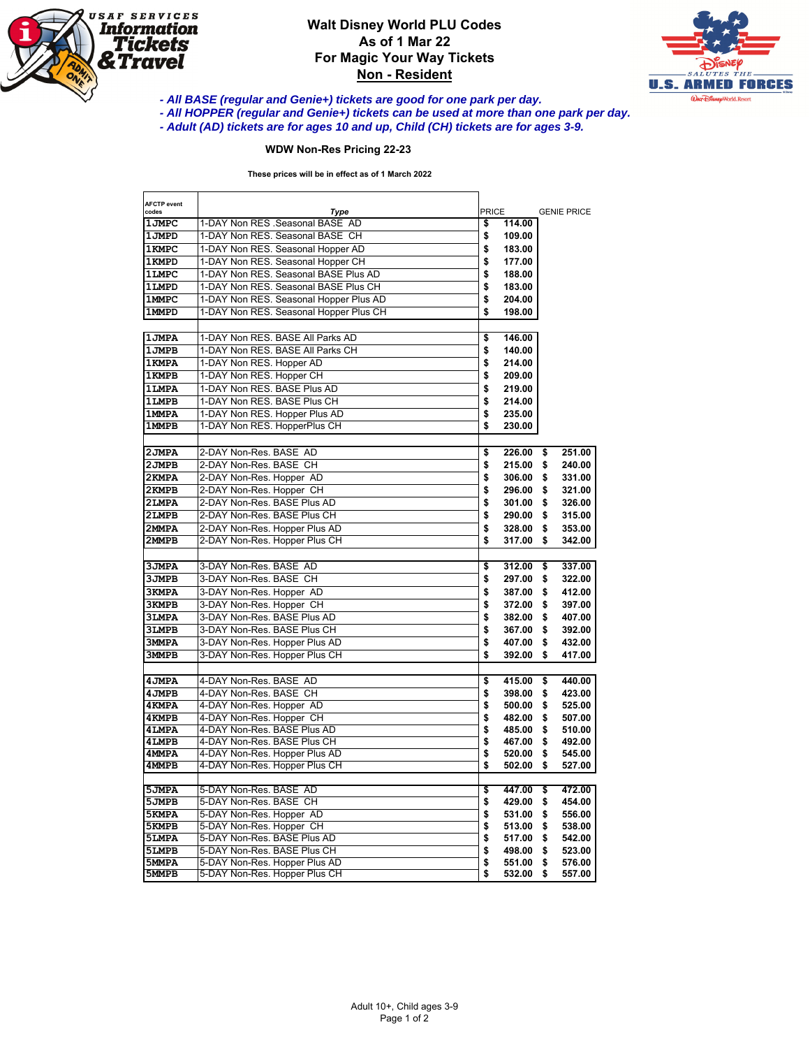

## **Walt Disney World PLU Codes As of 1 Mar 22 For Magic Your Way Tickets Non - Resident**



**- All HOPPER (regular and Genie+) tickets can be used at more than one park per day.** 

## **WDW Non-Res Pricing 22-23**

|                              | <b>WDW Non-Res Pricing 22-23</b>                                             |                              |          |                    |
|------------------------------|------------------------------------------------------------------------------|------------------------------|----------|--------------------|
|                              | These prices will be in effect as of 1 March 2022                            |                              |          |                    |
| <b>AFCTP</b> event<br>codes  | Type                                                                         | <b>PRICE</b>                 |          | <b>GENIE PRICE</b> |
| 1JMPC                        | 1-DAY Non RES .Seasonal BASE AD                                              | \$<br>114.00                 |          |                    |
| 1JMPD                        | 1-DAY Non RES. Seasonal BASE CH                                              | \$<br>109.00                 |          |                    |
| <b>1KMPC</b>                 | 1-DAY Non RES. Seasonal Hopper AD                                            | \$<br>183.00                 |          |                    |
| <b>1KMPD</b>                 | 1-DAY Non RES. Seasonal Hopper CH                                            | \$<br>177.00                 |          |                    |
| <b>1LMPC</b>                 | 1-DAY Non RES. Seasonal BASE Plus AD<br>1-DAY Non RES. Seasonal BASE Plus CH | \$<br>188.00<br>\$           |          |                    |
| 1LMPD<br><b>1MMPC</b>        | 1-DAY Non RES. Seasonal Hopper Plus AD                                       | 183.00<br>\$<br>204.00       |          |                    |
| <b>1MMPD</b>                 | 1-DAY Non RES. Seasonal Hopper Plus CH                                       | \$<br>198.00                 |          |                    |
|                              |                                                                              |                              |          |                    |
| <b>1JMPA</b>                 | 1-DAY Non RES. BASE All Parks AD                                             | 146.00<br>\$                 |          |                    |
| <b>1JMPB</b>                 | 1-DAY Non RES. BASE All Parks CH                                             | \$<br>140.00                 |          |                    |
| <b>1KMPA</b>                 | 1-DAY Non RES. Hopper AD                                                     | \$<br>214.00                 |          |                    |
| <b>1KMPB</b>                 | 1-DAY Non RES. Hopper CH                                                     | \$<br>209.00                 |          |                    |
| <b>1LMPA</b>                 | 1-DAY Non RES. BASE Plus AD                                                  | \$<br>219.00                 |          |                    |
| <b>1LMPB</b>                 | 1-DAY Non RES, BASE Plus CH                                                  | \$<br>214.00                 |          |                    |
| <b>1MMPA</b><br><b>1MMPB</b> | 1-DAY Non RES. Hopper Plus AD<br>1-DAY Non RES. HopperPlus CH                | \$<br>235.00<br>\$<br>230.00 |          |                    |
|                              |                                                                              |                              |          |                    |
| 2 JMPA                       | 2-DAY Non-Res. BASE AD                                                       | \$<br>226.00                 | \$       | 251.00             |
| 2JMPB                        | 2-DAY Non-Res. BASE CH                                                       | \$<br>215.00                 | \$       | 240.00             |
| 2KMPA                        | 2-DAY Non-Res. Hopper AD                                                     | \$<br>306.00                 | \$       | 331.00             |
| 2KMPB                        | 2-DAY Non-Res. Hopper CH                                                     | \$<br>296.00                 | \$       | 321.00             |
| <b>2LMPA</b>                 | 2-DAY Non-Res. BASE Plus AD                                                  | \$<br>301.00                 | \$       | 326.00             |
| 2LMPB                        | 2-DAY Non-Res. BASE Plus CH                                                  | \$<br>290.00                 | \$       | 315.00             |
| 2MMPA                        | 2-DAY Non-Res. Hopper Plus AD                                                | \$<br>328.00                 | \$       | 353.00             |
| 2MMPB                        | 2-DAY Non-Res. Hopper Plus CH                                                | \$<br>317.00                 | \$       | 342.00             |
| <b>3JMPA</b>                 | 3-DAY Non-Res. BASE AD                                                       | \$<br>312.00                 | \$       | 337.00             |
| ЗЛМРВ                        | 3-DAY Non-Res. BASE CH                                                       | \$<br>297.00                 | \$       | 322.00             |
| 3KMPA                        | 3-DAY Non-Res. Hopper AD                                                     | \$<br>387.00                 | \$       | 412.00             |
| ЗКМРВ                        | 3-DAY Non-Res. Hopper CH                                                     | \$<br>372.00                 | \$       | 397.00             |
| <b>3LMPA</b>                 | 3-DAY Non-Res. BASE Plus AD                                                  | \$<br>382.00                 | \$       | 407.00             |
| <b>3LMPB</b>                 | 3-DAY Non-Res. BASE Plus CH                                                  | \$<br>367.00                 | \$       | 392.00             |
| <b>3MMPA</b>                 | 3-DAY Non-Res. Hopper Plus AD                                                | \$<br>407.00                 | \$       | 432.00             |
| <b>3MMPB</b>                 | 3-DAY Non-Res. Hopper Plus CH                                                | \$<br>392.00                 | \$       | 417.00             |
| <b>4 JMPA</b>                | 4-DAY Non-Res. BASE AD                                                       | 415.00<br>\$                 | \$       | 440.00             |
| 4 JMPB                       | 4-DAY Non-Res. BASE CH                                                       | \$<br>398.00                 | \$       | 423.00             |
| 4 KMPA                       | 4-DAY Non-Res. Hopper AD                                                     | \$<br>500.00                 | \$       | 525.00             |
| 4 KMPB                       | 4-DAY Non-Res. Hopper CH                                                     | \$<br>482.00                 | \$       | 507.00             |
| 4 LMPA                       | 4-DAY Non-Res. BASE Plus AD                                                  | \$<br>485.00                 | \$       | 510.00             |
| 4LMPB                        | 4-DAY Non-Res. BASE Plus CH<br>4-DAY Non-Res. Hopper Plus AD                 | \$<br>467.00                 | \$       | 492.00             |
| 4MMPA<br>4MMPB               | 4-DAY Non-Res. Hopper Plus CH                                                | \$<br>520.00<br>\$<br>502.00 | \$<br>\$ | 545.00<br>527.00   |
|                              |                                                                              |                              |          |                    |
| 5JMPA                        | 5-DAY Non-Res. BASE AD                                                       | 447.00<br>\$                 | \$       | 472.00             |
| 5JMPB                        | 5-DAY Non-Res. BASE CH                                                       | \$<br>429.00                 | \$       | 454.00             |
|                              | 5-DAY Non-Res. Hopper AD                                                     | \$<br>531.00                 | \$       | 556.00             |
|                              | 5-DAY Non-Res. Hopper CH<br>5-DAY Non-Res. BASE Plus AD                      | \$<br>513.00<br>\$<br>517.00 | \$<br>\$ | 538.00<br>542.00   |
|                              |                                                                              |                              |          | 523.00             |
| 5KMPA<br>5KMPB<br>5LMPA      |                                                                              |                              |          |                    |
| 5LMPB<br>5MMPA               | 5-DAY Non-Res. BASE Plus CH<br>5-DAY Non-Res. Hopper Plus AD                 | \$<br>498.00<br>\$<br>551.00 | \$<br>\$ | 576.00             |